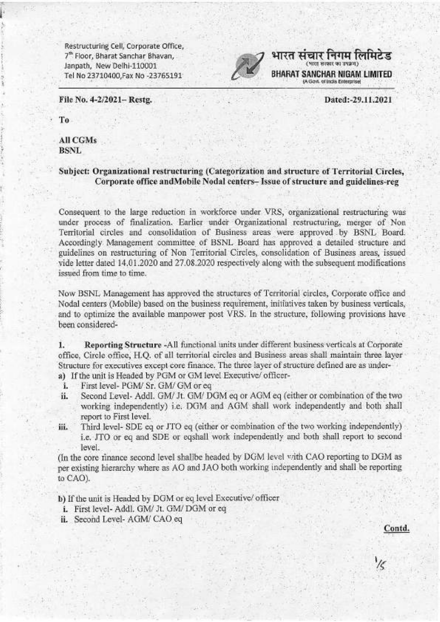

BHARAT SANCHAR NIGAM LIMITED (A Govt. of India Enterprise)

भारत संचार निगम लिमिटेड

Dated:-29.11.2021

File No. 4-2/2021- Restg.

To.

All CGMs **BSNL** 

## Subject: Organizational restructuring (Categorization and structure of Territorial Circles, Corporate office and Mobile Nodal centers-Issue of structure and guidelines-reg

Consequent to the large reduction in workforce under VRS, organizational restructuring was under process of finalization. Earlier under Organizational restructuring, merger of Non Territorial circles and consolidation of Business areas were approved by BSNL Board. Accordingly Management committee of BSNL Board has approved a detailed structure and guidelines on restructuring of Non Territorial Circles, consolidation of Business areas, issued vide letter dated 14.01.2020 and 27.08.2020 respectively along with the subsequent modifications issued from time to time.

Now BSNL Management has approved the structures of Territorial circles, Corporate office and Nodal centers (Mobile) based on the business requirement, initiatives taken by business verticals, and to optimize the available manpower post VRS. In the structure, following provisions have been considered-

Reporting Structure -All functional units under different business verticals at Corporate ī. office, Circle office, H.Q. of all territorial circles and Business areas shall maintain three layer Structure for executives except core finance. The three layer of structure defined are as undera) If the unit is Headed by PGM or GM level Executive/ officer-

- First level- PGM/ Sr. GM/ GM or eq i.
- Second Level- Addl. GM/ Jt. GM/ DGM eq or AGM eq (either or combination of the two ii. working independently) i.e. DGM and AGM shall work independently and both shall report to First level.
- Third level- SDE eq or JTO eq (either or combination of the two working independently) iii. i.e. JTO or eq and SDE or eqshall work independently and both shall report to second level.

(In the core rinance second level shallbe headed by DGM level with CAO reporting to DGM as per existing hierarchy where as AO and JAO both working independently and shall be reporting to CAO).

b) If the unit is Headed by DGM or eq level Executive/ officer

- i. First level- Addl. GM/ Jt. GM/ DGM or eq
- ii. Second Level- AGM/ CAO eq

Contd.

 $\frac{1}{5}$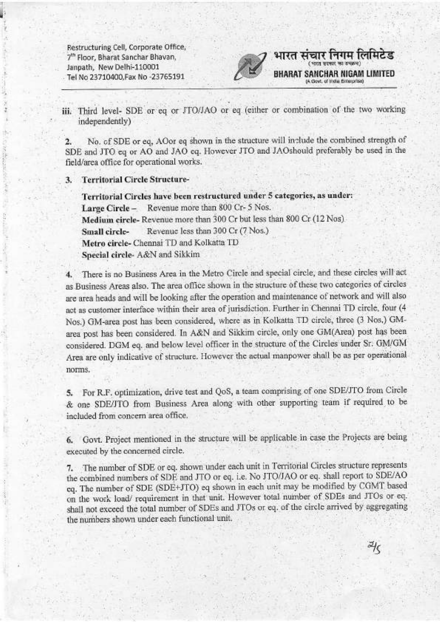

iii. Third level- SDE or eq or JTO/JAO or eq (either or combination of the two working independently)

No. of SDE or eq, AOor eq shown in the structure will include the combined strength of  $2.$ SDE and JTO eq or AO and JAO eq. However JTO and JAOshould preferably be used in the field/area office for operational works.

**Territorial Circle Structure-** $3.$ 

> Territorial Circles have been restructured under 5 categories, as under: Large Circle - Revenue more than 800 Cr- 5 Nos. Medium circle-Revenue more than 300 Cr but less than 800 Cr (12 Nos). Revenue less than 300 Cr (7 Nos.) Small circle-Metro circle- Chennai TD and Kolkatta TD Special circle- A&N and Sikkim

There is no Business Area in the Metro Circle and special circle, and these circles will act as Business Areas also. The area office shown in the structure of these two categories of circles are area heads and will be looking after the operation and maintenance of network and will also act as customer interface within their area of jurisdiction. Further in Chennai TD circle, four (4 Nos.) GM-area post has been considered, where as in Kolkatta TD circle, three (3 Nos.) GMarea post has been considered. In A&N and Sikkim circle, only one GM(Area) post has been considered. DGM eq. and below level officer in the structure of the Circles under Sr. GM/GM Area are only indicative of structure. However the actual manpower shall be as per operational norms.

5. For R.F. optimization, drive test and QoS, a team comprising of one SDE/JTO from Circle & one SDE/JTO from Business Area along with other supporting team if required to be included from concern area office.

6. Govt. Project mentioned in the structure will be applicable in case the Projects are being executed by the concerned circle.

7. The number of SDE or eq. shown under each unit in Territorial Circles structure represents the combined numbers of SDE and JTO or eq. i.e. No JTO/JAO or eq. shall report to SDE/AO eq. The number of SDE (SDE+JTO) eq shown in each unit may be modified by CGMT based on the work load/ requirement in that unit. However total number of SDEs and JTOs or eq. shall not exceed the total number of SDEs and JTOs or eq. of the circle arrived by aggregating the numbers shown under each functional unit.

 $\frac{1}{2}$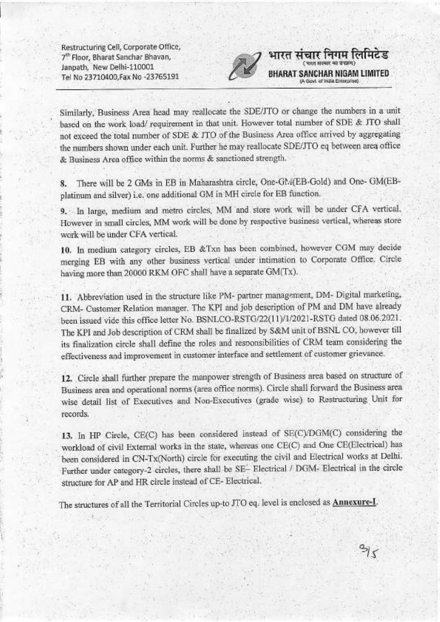

भारत

संचार निगम लिमिटेड

meetik sa vaava wuu

BHARAT SANCHAR NIGAM LIMITED

(A Govt. of India Enterprise)

Similarly, Business Area head may reallocate the SDE/JTO or change the numbers in a unit based on the work load/requirement in that unit. However total number of SDE & JTO shall not exceed the total number of SDE & JTO of the Business Area office arrived by aggregating the numbers shown under each unit. Further he may reallocate SDE/JTO eq between area office & Business Area office within the norms & sanctioned strength.

There will be 2 GMs in EB in Maharashtra circle, One-GM(EB-Gold) and One-GM(EB-8. platinum and silver) i.e. one additional GM in MH circle for EB function.

9. In large, medium and metro circles, MM and store work will be under CFA vertical. However in small circles, MM work will be done by respective business vertical, whereas store work will be under CFA vertical.

10. In medium category circles, EB &Txn has been combined, however CGM may decide merging EB with any other business vertical under intimation to Corporate Office. Circle having more than 20000 RKM OFC shall have a separate GM(Tx).

11. Abbreviation used in the structure like PM- partner management, DM- Digital marketing, CRM- Customer Relation manager. The KPI and job description of PM and DM have already been issued vide this office letter No. BSNLCO-RSTG/22(11)/1/2021-RSTG dated 08.06.2021. The KPI and Job description of CRM shall be finalized by S&M unit of BSNL CO, however till its finalization circle shall define the roles and responsibilities of CRM team considering the effectiveness and improvement in customer interface and settlement of customer grievance.

12. Circle shall further prepare the manpower strength of Business area based on structure of Business area and operational norms (area office norms). Circle shall forward the Business area wise detail list of Executives and Non-Executives (grade wise) to Restructuring Unit for records.

13. In HP Circle, CE(C) has been considered instead of SE(C)/DGM(C) considering the workload of civil External works in the state, whereas one CE(C) and One CE(Electrical) has been considered in CN-Tx(North) circle for executing the civil and Electrical works at Delhi. Further under category-2 circles, there shall be SE- Electrical / DGM- Electrical in the circle structure for AP and HR circle instead of CE- Electrical.

The structures of all the Territorial Circles up-to JTO eq. level is enclosed as Annexure-I.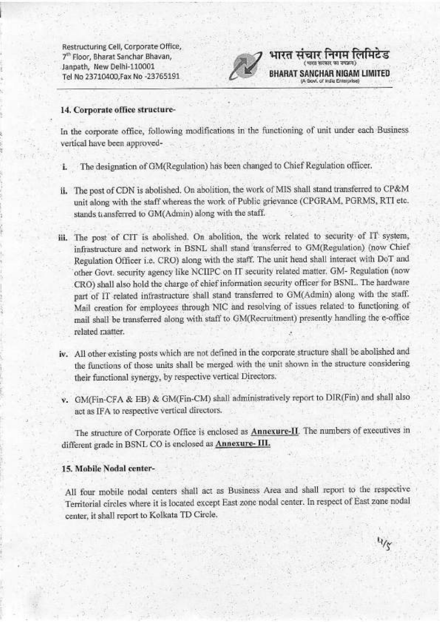

भारत संचार निगम लिमिटेड

Govi, of India Enterprise)

**SANCHAR NIGAM LIMITED** 

 $4/\gamma$ 

### 14. Corporate office structure-

In the corporate office, following modifications in the functioning of unit under each Business vertical have been approved-

- i. The designation of GM(Regulation) has been changed to Chief Regulation officer.
- ii. The post of CDN is abolished. On abolition, the work of MIS shall stand transferred to CP&M unit along with the staff whereas the work of Public grievance (CPGRAM, PGRMS, RTI etc. stands transferred to GM(Admin) along with the staff.
- iii. The post of CIT is abolished. On abolition, the work related to security of IT system, infrastructure and network in BSNL shall stand transferred to GM(Regulation) (now Chief Regulation Officer i.e. CRO) along with the staff. The unit head shall interact with DoT and other Govt. security agency like NCIIPC on IT security related matter. GM- Regulation (now CRO) shall also hold the charge of chief information security officer for BSNL. The hardware part of IT related infrastructure shall stand transferred to GM(Admin) along with the staff. Mail creation for employees through NIC and resolving of issues related to functioning of mail shall be transferred along with staff to GM(Recruitment) presently handling the e-office related matter.
- iv. All other existing posts which are not defined in the corporate structure shall be abolished and the functions of those units shall be merged with the unit shown in the structure considering their functional synergy, by respective vertical Directors.
- v. GM(Fin-CFA & EB) & GM(Fin-CM) shall administratively report to DIR(Fin) and shall also act as IFA to respective vertical directors.

The structure of Corporate Office is enclosed as **Annexure-II**. The numbers of executives in different grade in BSNL CO is enclosed as Annexure-III.

## 15. Mobile Nodal center-

All four mobile nodal centers shall act as Business Area and shall report to the respective Territorial circles where it is located except East zone nodal center. In respect of East zone nodal center, it shall report to Kolkata TD Circle.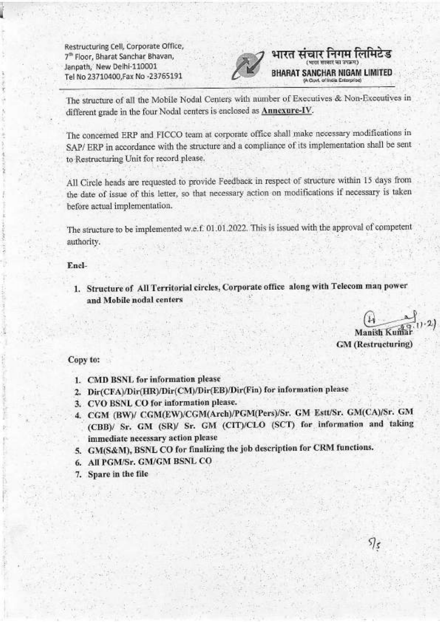

# भारत संचार निगम लिमिटेड NCHAR NIGAM LIMITED **Cost, of facts Esternistic**

The structure of all the Mobile Nodal Centers with number of Executives & Non-Executives in different grade in the four Nodal centers is enclosed as Annexure-IV.

The concerned ERP and FICCO team at corporate office shall make necessary modifications in SAP/ ERP in accordance with the structure and a compliance of its implementation shall be sent to Restructuring Unit for record please.

All Circle heads are requested to provide Feedback in respect of structure within 15 days from the date of issue of this letter, so that necessary action on modifications if necessary is taken before actual implementation.

The structure to be implemented w.e.f. 01.01.2022. This is issued with the approval of competent authority.

#### Encl-

1. Structure of All Territorial circles, Corporate office along with Telecom man power and Mobile nodal centers

Manish Ku **GM** (Restructuring)

 $\mathfrak{H}_{\mathcal{S}}$ 

## Copy to:

- 1. CMD BSNL for information please
- 2. Dir(CFA)/Dir(HR)/Dir(CM)/Dir(EB)/Dir(Fin) for information please
- 3. CVO BSNL CO for information please.
- 4. CGM (BW)/ CGM(EW)/CGM(Arch)/PGM(Pers)/Sr. GM Estt/Sr. GM(CA)/Sr. GM (CBB)/ Sr. GM (SR)/ Sr. GM (CIT)/CLO (SCT) for information and taking immediate necessary action please
- 5. GM(S&M), BSNL CO for finalizing the job description for CRM functions.
- 6. All PGM/Sr. GM/GM BSNL CO
- 7. Spare in the file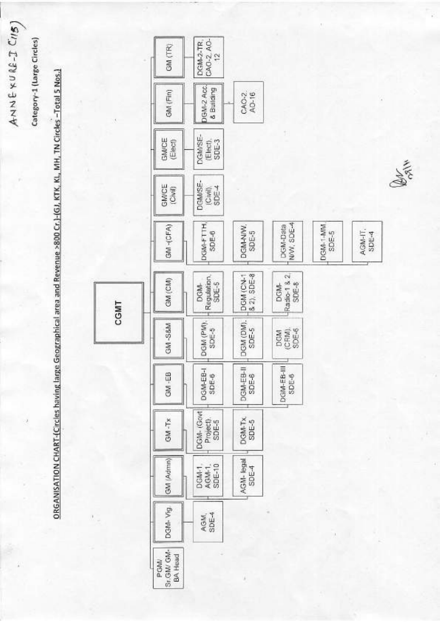Category-1 (Large Circles)

ANNEXURE-I CIIS)

ORGANISATION CHART-(Circles having large Geographical area and Revenue >800 Cr.)-(GJ, KTK, KL, MH, TN Circles -Total 5 Nos.)



**ANTE**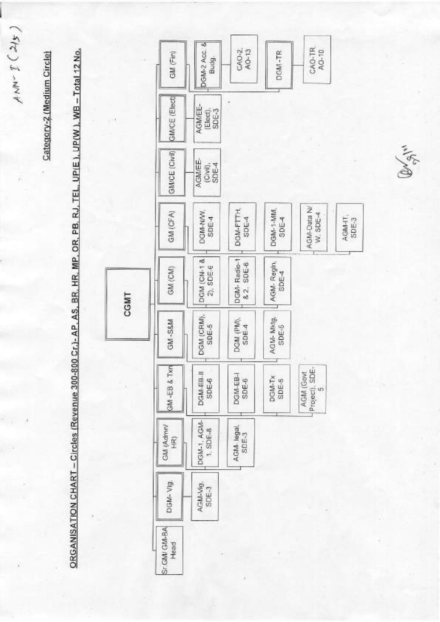$ANN-Z(215)$ 

Category-2 (Medium Circle)

ORGANISATION CHART - Circles (Revenue 300-800 Cr.)- AP. AS. BR. HR. MP. OR. PB. RJ. TEL. UP(E.), UP(W.), WB - Total 12 No.



Censylv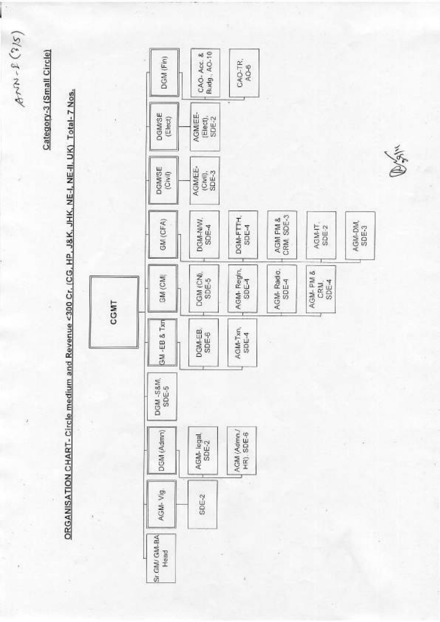$ATM - L(S/S)$ 

þ

Category-3 (Small Circle)

ORGANISATION CHART - Circle medium and Revenue <300 Cr. (CG, HP, J&K, JHK, NE-I, NE-II, UK) Total-7 Nos.

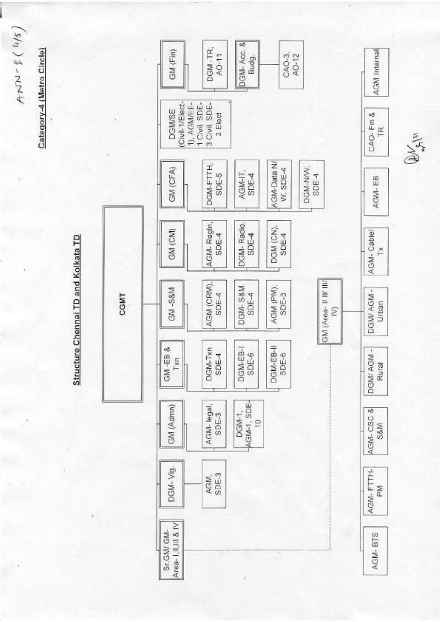Category-4 (Metro Circle)

 $ATN - 2(M1)$ 

Structure Chennai TD and Kolkata TD



**BUSHIN**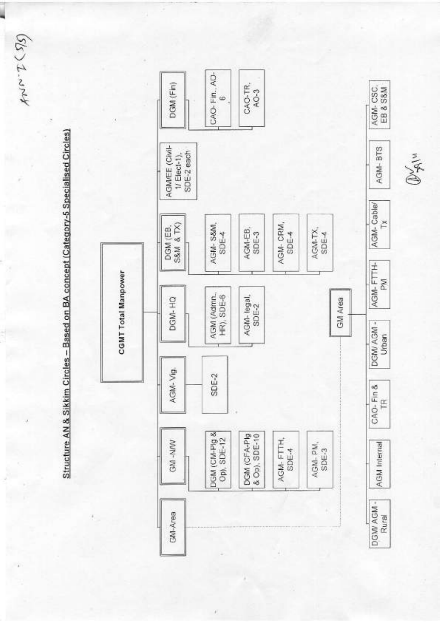$A^{N}$   $2.4M$ 

Structure AN & Sikkim Circles - Based on BA concept (Category-5 Specialised Circles)



 $\widetilde{\mathbb{D}}$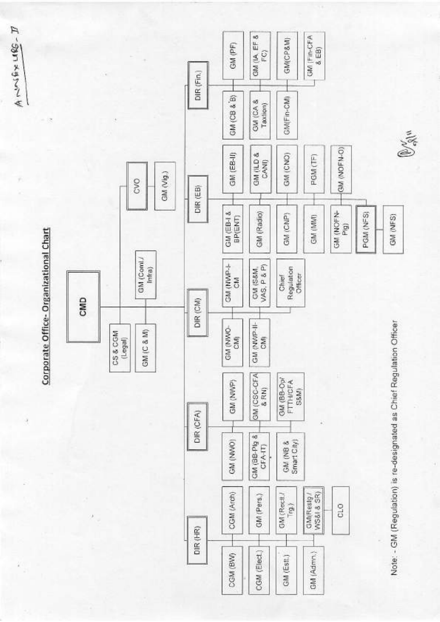

ANGRAMA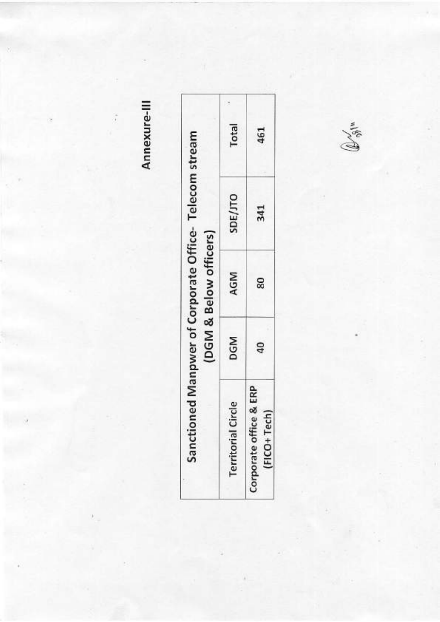Annexure-III

ĵ

| DGM            |
|----------------|
| $\overline{a}$ |

 $\mathbb{D}_{\mathbb{P}^{\left( n\right) }}^{<}$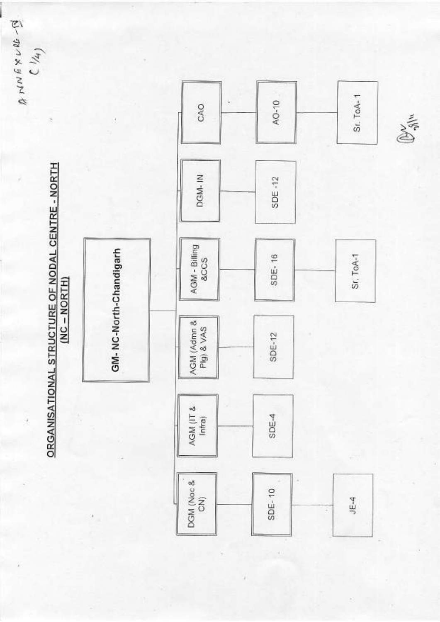$5 - m \times g$  WM  $v$  $C/\lambda$ 

> ORGANISATIONAL STRUCTURE OF NODAL CENTRE - NORTH  $(NC - NORTH)$

GM-NC-North-Chandigarh



Dyn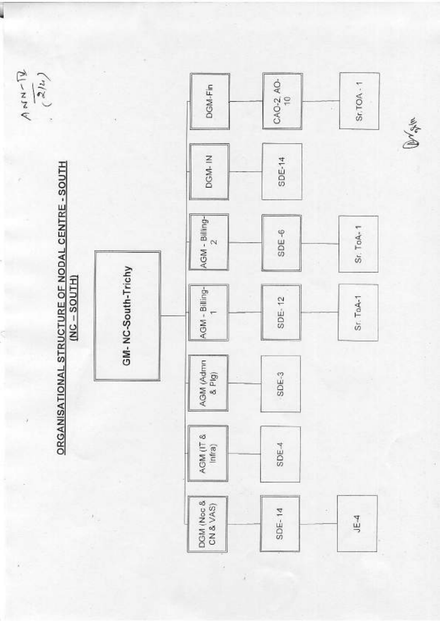$\begin{array}{c}\nA \sim N \sim \sqrt{2} \\
\left(\frac{2}{\pi}I\right)\end{array}$ 



 $\sim$ 

GM-NC-South-Trichy



**Bratch**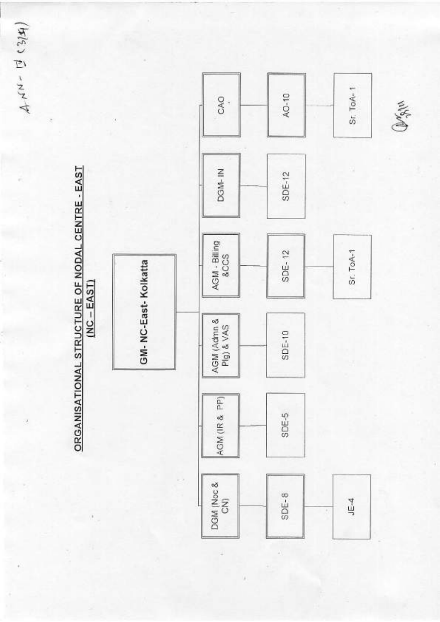$44390 + 144$ 

 $\bar{\sigma}$ 

ORGANISATIONAL STRUCTURE OF NODAL CENTRE - EAST  $(NC - EAST)$ 

j.



Omgru